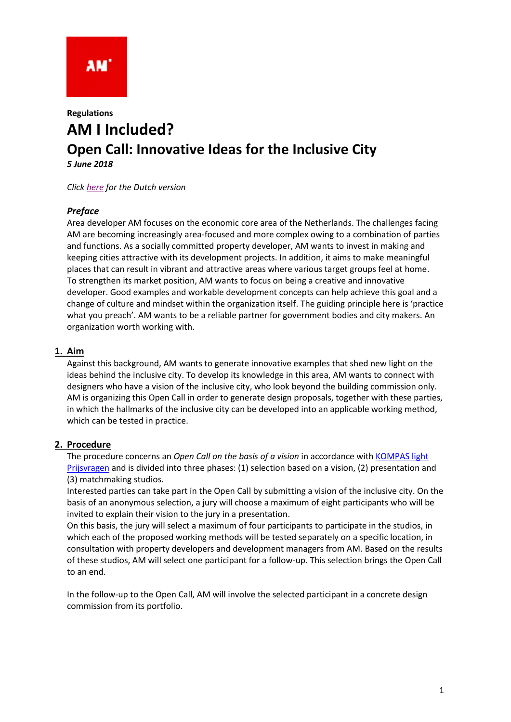

# **Regulations AM I Included? Open Call: Innovative Ideas for the Inclusive City** *5 June 2018*

*Click [here](180605%20Reglement%20Open%20Oproep%20AM%20I%20Included.pdf) for the Dutch version*

# *Preface*

Area developer AM focuses on the economic core area of the Netherlands. The challenges facing AM are becoming increasingly area-focused and more complex owing to a combination of parties and functions. As a socially committed property developer, AM wants to invest in making and keeping cities attractive with its development projects. In addition, it aims to make meaningful places that can result in vibrant and attractive areas where various target groups feel at home. To strengthen its market position, AM wants to focus on being a creative and innovative developer. Good examples and workable development concepts can help achieve this goal and a change of culture and mindset within the organization itself. The guiding principle here is 'practice what you preach'. AM wants to be a reliable partner for government bodies and city makers. An organization worth working with.

# **1. Aim**

Against this background, AM wants to generate innovative examples that shed new light on the ideas behind the inclusive city. To develop its knowledge in this area, AM wants to connect with designers who have a vision of the inclusive city, who look beyond the building commission only. AM is organizing this Open Call in order to generate design proposals, together with these parties, in which the hallmarks of the inclusive city can be developed into an applicable working method, which can be tested in practice.

# **2. Procedure**

The procedure concerns an *Open Call on the basis of a vision* in accordance with [KOMPAS light](http://www.ontwerpwedstrijden.nl/kompas/)  [Prijsvragen](http://www.ontwerpwedstrijden.nl/kompas/) and is divided into three phases: (1) selection based on a vision, (2) presentation and (3) matchmaking studios.

Interested parties can take part in the Open Call by submitting a vision of the inclusive city. On the basis of an anonymous selection, a jury will choose a maximum of eight participants who will be invited to explain their vision to the jury in a presentation.

On this basis, the jury will select a maximum of four participants to participate in the studios, in which each of the proposed working methods will be tested separately on a specific location, in consultation with property developers and development managers from AM. Based on the results of these studios, AM will select one participant for a follow-up. This selection brings the Open Call to an end.

In the follow-up to the Open Call, AM will involve the selected participant in a concrete design commission from its portfolio.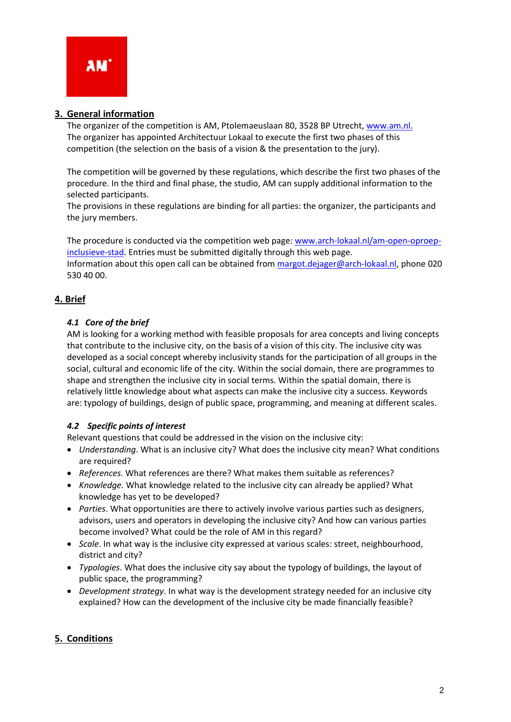# **3. General information**

The organizer of the competition is AM, Ptolemaeuslaan 80, 3528 BP Utrecht, [www.am.nl.](http://www.am.nl/) The organizer has appointed Architectuur Lokaal to execute the first two phases of this competition (the selection on the basis of a vision & the presentation to the jury).

The competition will be governed by these regulations, which describe the first two phases of the procedure. In the third and final phase, the studio, AM can supply additional information to the selected participants.

The provisions in these regulations are binding for all parties: the organizer, the participants and the jury members.

The procedure is conducted via the competition web page[: www.arch-lokaal.nl/am-open-oproep](http://www.arch-lokaal.nl/am-open-oproep-inclusieve-stad)[inclusieve-stad.](http://www.arch-lokaal.nl/am-open-oproep-inclusieve-stad) Entries must be submitted digitally through this web page. Information about this open call can be obtained from [margot.dejager@arch-lokaal.nl,](mailto:margot.dejager@arch-lokaal.nl) phone 020 530 40 00.

# **4. Brief**

# *4.1 Core of the brief*

AM is looking for a working method with feasible proposals for area concepts and living concepts that contribute to the inclusive city, on the basis of a vision of this city. The inclusive city was developed as a social concept whereby inclusivity stands for the participation of all groups in the social, cultural and economic life of the city. Within the social domain, there are programmes to shape and strengthen the inclusive city in social terms. Within the spatial domain, there is relatively little knowledge about what aspects can make the inclusive city a success. Keywords are: typology of buildings, design of public space, programming, and meaning at different scales.

# *4.2 Specific points of interest*

Relevant questions that could be addressed in the vision on the inclusive city:

- *Understanding*. What is an inclusive city? What does the inclusive city mean? What conditions are required?
- *References.* What references are there? What makes them suitable as references?
- *Knowledge.* What knowledge related to the inclusive city can already be applied? What knowledge has yet to be developed?
- *Parties*. What opportunities are there to actively involve various parties such as designers, advisors, users and operators in developing the inclusive city? And how can various parties become involved? What could be the role of AM in this regard?
- *Scale*. In what way is the inclusive city expressed at various scales: street, neighbourhood, district and city?
- *Typologies*. What does the inclusive city say about the typology of buildings, the layout of public space, the programming?
- *Development strategy*. In what way is the development strategy needed for an inclusive city explained? How can the development of the inclusive city be made financially feasible?

# **5. Conditions**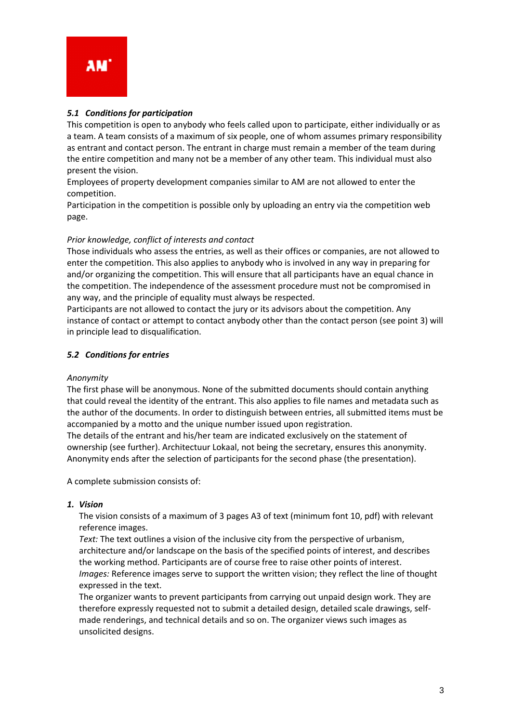

#### *5.1 Conditions for participation*

This competition is open to anybody who feels called upon to participate, either individually or as a team. A team consists of a maximum of six people, one of whom assumes primary responsibility as entrant and contact person. The entrant in charge must remain a member of the team during the entire competition and many not be a member of any other team. This individual must also present the vision.

Employees of property development companies similar to AM are not allowed to enter the competition.

Participation in the competition is possible only by uploading an entry via the competition web page.

#### *Prior knowledge, conflict of interests and contact*

Those individuals who assess the entries, as well as their offices or companies, are not allowed to enter the competition. This also applies to anybody who is involved in any way in preparing for and/or organizing the competition. This will ensure that all participants have an equal chance in the competition. The independence of the assessment procedure must not be compromised in any way, and the principle of equality must always be respected.

Participants are not allowed to contact the jury or its advisors about the competition. Any instance of contact or attempt to contact anybody other than the contact person (see point 3) will in principle lead to disqualification.

#### *5.2 Conditions for entries*

#### *Anonymity*

The first phase will be anonymous. None of the submitted documents should contain anything that could reveal the identity of the entrant. This also applies to file names and metadata such as the author of the documents. In order to distinguish between entries, all submitted items must be accompanied by a motto and the unique number issued upon registration.

The details of the entrant and his/her team are indicated exclusively on the statement of ownership (see further). Architectuur Lokaal, not being the secretary, ensures this anonymity. Anonymity ends after the selection of participants for the second phase (the presentation).

A complete submission consists of:

#### *1. Vision*

The vision consists of a maximum of 3 pages A3 of text (minimum font 10, pdf) with relevant reference images.

*Text:* The text outlines a vision of the inclusive city from the perspective of urbanism, architecture and/or landscape on the basis of the specified points of interest, and describes the working method. Participants are of course free to raise other points of interest. *Images:* Reference images serve to support the written vision; they reflect the line of thought expressed in the text.

The organizer wants to prevent participants from carrying out unpaid design work. They are therefore expressly requested not to submit a detailed design, detailed scale drawings, selfmade renderings, and technical details and so on. The organizer views such images as unsolicited designs.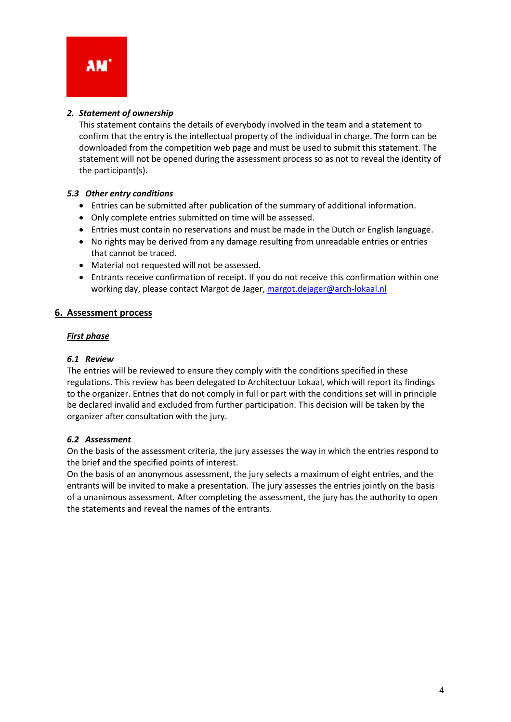### *2. Statement of ownership*

This statement contains the details of everybody involved in the team and a statement to confirm that the entry is the intellectual property of the individual in charge. The form can be downloaded from the competition web page and must be used to submit this statement. The statement will not be opened during the assessment process so as not to reveal the identity of the participant(s).

# *5.3 Other entry conditions*

- Entries can be submitted after publication of the summary of additional information.
- Only complete entries submitted on time will be assessed.
- Entries must contain no reservations and must be made in the Dutch or English language.
- No rights may be derived from any damage resulting from unreadable entries or entries that cannot be traced.
- Material not requested will not be assessed.
- Entrants receive confirmation of receipt. If you do not receive this confirmation within one working day, please contact Margot de Jager, [margot.dejager@arch-lokaal.nl](mailto:margot.dejager@arch-lokaal.nl)

#### **6. Assessment process**

#### *First phase*

#### *6.1 Review*

The entries will be reviewed to ensure they comply with the conditions specified in these regulations. This review has been delegated to Architectuur Lokaal, which will report its findings to the organizer. Entries that do not comply in full or part with the conditions set will in principle be declared invalid and excluded from further participation. This decision will be taken by the organizer after consultation with the jury.

#### *6.2 Assessment*

On the basis of the assessment criteria, the jury assesses the way in which the entries respond to the brief and the specified points of interest.

On the basis of an anonymous assessment, the jury selects a maximum of eight entries, and the entrants will be invited to make a presentation. The jury assesses the entries jointly on the basis of a unanimous assessment. After completing the assessment, the jury has the authority to open the statements and reveal the names of the entrants.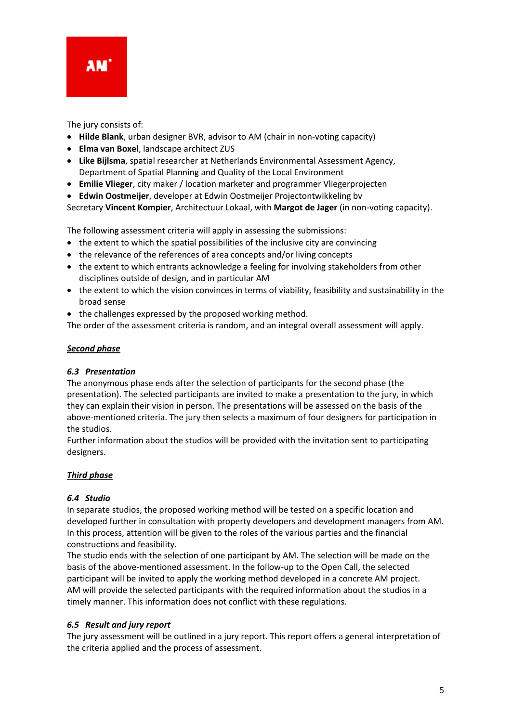

The jury consists of:

- **Hilde Blank**, urban designer BVR, advisor to AM (chair in non-voting capacity)
- **Elma van Boxel**, landscape architect ZUS
- **Like Bijlsma**, spatial researcher at Netherlands Environmental Assessment Agency, Department of Spatial Planning and Quality of the Local Environment
- **Emilie Vlieger**, city maker / location marketer and programmer [Vliegerp](http://vliegerprojecten.nl/)rojecten
- **Edwin Oostmeijer**, developer at Edwin Oostmeijer Projectontwikkeling bv

Secretary **Vincent Kompier**, Architectuur Lokaal, with **Margot de Jager** (in non-voting capacity).

The following assessment criteria will apply in assessing the submissions:

- the extent to which the spatial possibilities of the inclusive city are convincing
- the relevance of the references of area concepts and/or living concepts
- the extent to which entrants acknowledge a feeling for involving stakeholders from other disciplines outside of design, and in particular AM
- the extent to which the vision convinces in terms of viability, feasibility and sustainability in the broad sense
- the challenges expressed by the proposed working method.

The order of the assessment criteria is random, and an integral overall assessment will apply.

#### *Second phase*

#### *6.3 Presentation*

The anonymous phase ends after the selection of participants for the second phase (the presentation). The selected participants are invited to make a presentation to the jury, in which they can explain their vision in person. The presentations will be assessed on the basis of the above-mentioned criteria. The jury then selects a maximum of four designers for participation in the studios.

Further information about the studios will be provided with the invitation sent to participating designers.

# *Third phase*

#### *6.4 Studio*

In separate studios, the proposed working method will be tested on a specific location and developed further in consultation with property developers and development managers from AM. In this process, attention will be given to the roles of the various parties and the financial constructions and feasibility.

The studio ends with the selection of one participant by AM. The selection will be made on the basis of the above-mentioned assessment. In the follow-up to the Open Call, the selected participant will be invited to apply the working method developed in a concrete AM project. AM will provide the selected participants with the required information about the studios in a timely manner. This information does not conflict with these regulations.

#### *6.5 Result and jury report*

The jury assessment will be outlined in a jury report. This report offers a general interpretation of the criteria applied and the process of assessment.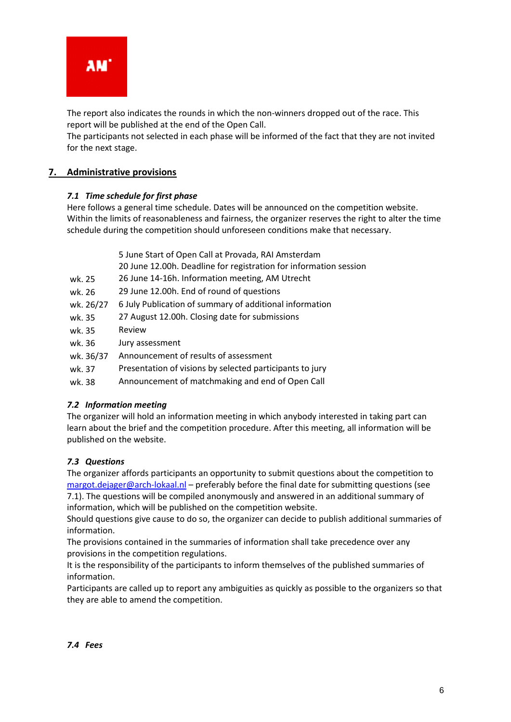

The report also indicates the rounds in which the non-winners dropped out of the race. This report will be published at the end of the Open Call.

The participants not selected in each phase will be informed of the fact that they are not invited for the next stage.

# **7. Administrative provisions**

#### *7.1 Time schedule for first phase*

Here follows a general time schedule. Dates will be announced on the competition website. Within the limits of reasonableness and fairness, the organizer reserves the right to alter the time schedule during the competition should unforeseen conditions make that necessary.

|           | 5 June Start of Open Call at Provada, RAI Amsterdam<br>20 June 12.00h. Deadline for registration for information session |
|-----------|--------------------------------------------------------------------------------------------------------------------------|
| wk. 25    | 26 June 14-16h. Information meeting, AM Utrecht                                                                          |
| wk. 26    | 29 June 12.00h. End of round of questions                                                                                |
| wk. 26/27 | 6 July Publication of summary of additional information                                                                  |
| wk. 35    | 27 August 12.00h. Closing date for submissions                                                                           |
| wk. 35    | Review                                                                                                                   |
| wk. 36    | Jury assessment                                                                                                          |
| wk. 36/37 | Announcement of results of assessment                                                                                    |

- wk. 37 Presentation of visions by selected participants to jury
- wk. 38 Announcement of matchmaking and end of Open Call

# <span id="page-5-0"></span>*[7.2 Information meeting](#page-5-0)*

The organizer will hold an information meeting in which anybody interested in taking part can learn about the brief and the competition procedure. After this meeting, all information will be published on the website.

#### *7.3 Questions*

The organizer affords participants an opportunity to submit questions about the competition to [margot.dejager@arch-lokaal.nl](mailto:margot.dejager@arch-lokaal.nl) – preferably before the final date for submitting questions (see 7.1). The questions will be compiled anonymously and answered in an additional summary of information, which will be published on the competition website.

Should questions give cause to do so, the organizer can decide to publish additional summaries of information.

The provisions contained in the summaries of information shall take precedence over any provisions in the competition regulations.

It is the responsibility of the participants to inform themselves of the published summaries of information.

Participants are called up to report any ambiguities as quickly as possible to the organizers so that they are able to amend the competition.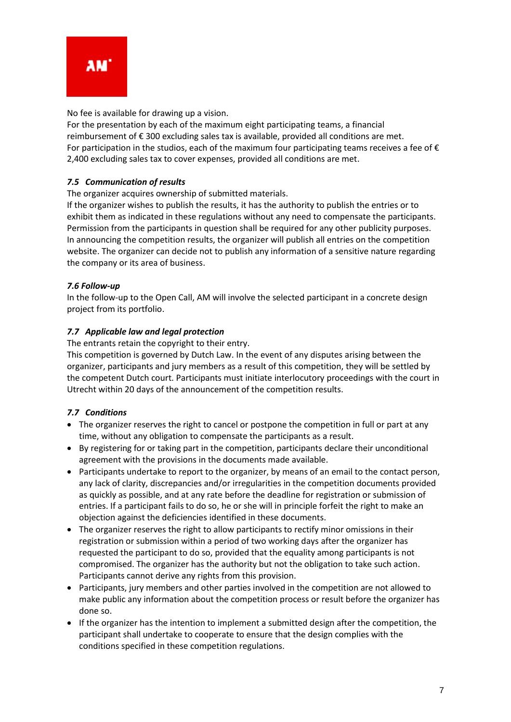

No fee is available for drawing up a vision.

For the presentation by each of the maximum eight participating teams, a financial reimbursement of €300 excluding sales tax is available, provided all conditions are met. For participation in the studios, each of the maximum four participating teams receives a fee of  $\epsilon$ 2,400 excluding sales tax to cover expenses, provided all conditions are met.

#### *7.5 Communication of results*

The organizer acquires ownership of submitted materials.

If the organizer wishes to publish the results, it has the authority to publish the entries or to exhibit them as indicated in these regulations without any need to compensate the participants. Permission from the participants in question shall be required for any other publicity purposes. In announcing the competition results, the organizer will publish all entries on the competition website. The organizer can decide not to publish any information of a sensitive nature regarding the company or its area of business.

#### *7.6 Follow-up*

In the follow-up to the Open Call, AM will involve the selected participant in a concrete design project from its portfolio.

#### *7.7 Applicable law and legal protection*

The entrants retain the copyright to their entry.

This competition is governed by Dutch Law. In the event of any disputes arising between the organizer, participants and jury members as a result of this competition, they will be settled by the competent Dutch court. Participants must initiate interlocutory proceedings with the court in Utrecht within 20 days of the announcement of the competition results.

# *7.7 Conditions*

- The organizer reserves the right to cancel or postpone the competition in full or part at any time, without any obligation to compensate the participants as a result.
- By registering for or taking part in the competition, participants declare their unconditional agreement with the provisions in the documents made available.
- Participants undertake to report to the organizer, by means of an email to the contact person, any lack of clarity, discrepancies and/or irregularities in the competition documents provided as quickly as possible, and at any rate before the deadline for registration or submission of entries. If a participant fails to do so, he or she will in principle forfeit the right to make an objection against the deficiencies identified in these documents.
- The organizer reserves the right to allow participants to rectify minor omissions in their registration or submission within a period of two working days after the organizer has requested the participant to do so, provided that the equality among participants is not compromised. The organizer has the authority but not the obligation to take such action. Participants cannot derive any rights from this provision.
- Participants, jury members and other parties involved in the competition are not allowed to make public any information about the competition process or result before the organizer has done so.
- If the organizer has the intention to implement a submitted design after the competition, the participant shall undertake to cooperate to ensure that the design complies with the conditions specified in these competition regulations.